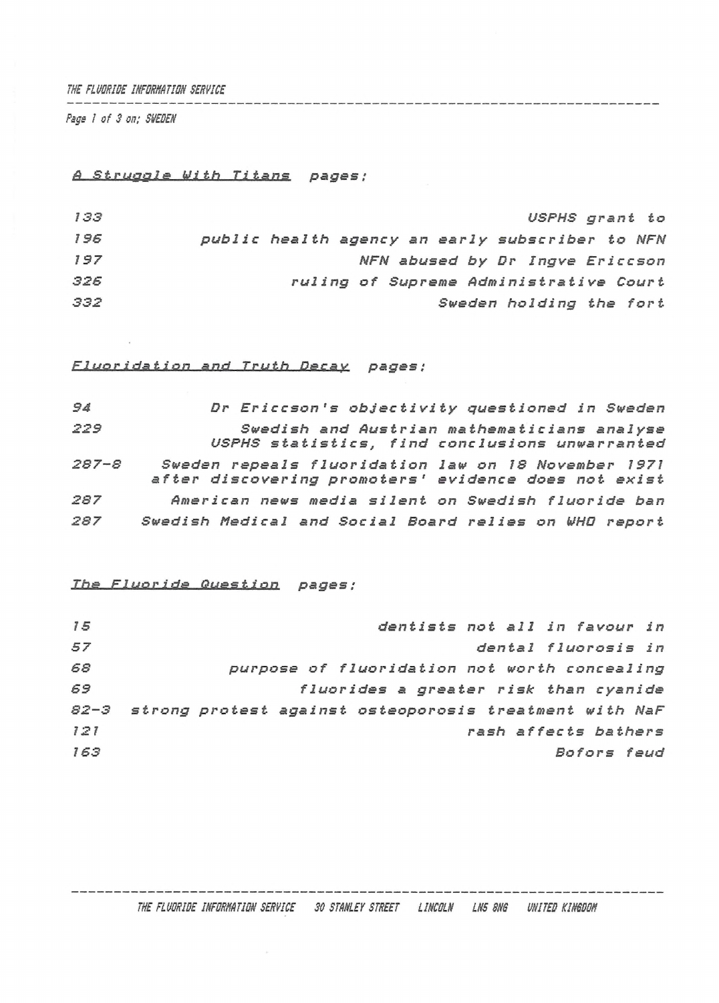#### *THE FLUDRIDE INFORMATIDN SERVICE*

*Page I of 3 on; SVEDEN*

# *<sup>A</sup> Struggle With Titans pages ;*

| 133 | USPHS grant to                                  |
|-----|-------------------------------------------------|
| 196 | public health agency an early subscriber to NFN |
| 197 | NFN abused by Dr Ingve Ericcson                 |
| 326 | ruling of Supreme Administrative Court          |
| 332 | Sweden holding the fort                         |

# *Fluoridation and Truth Decay pages ;*

| 94        | Dr Ericcson's objectivity questioned in Sweden                                                              |
|-----------|-------------------------------------------------------------------------------------------------------------|
| 229       | Swedish and Austrian mathematicians analyse<br>USPHS statistics, find conclusions unwarranted               |
| $287 - S$ | Sweden repeals fluoridation law on 18 November 1971<br>after discovering promoters' evidence does not exist |
| 287       | American news media silent on Swedish fluoride ban                                                          |
| 287       | Swedish Medical and Social Board relies on WHO report                                                       |

# *The Fluoride Question pages ;*

| 15  | dentists not all in favour in                               |
|-----|-------------------------------------------------------------|
| 57  | dental fluorosis in                                         |
| 68  | purpose of fluoridation not worth concealing                |
| 69  | fluorides a greater risk than cyanide                       |
|     | 82-3 strong protest against osteoporosis treatment with NaF |
| 121 | rash affects bathers                                        |
| 163 | Bofors feud                                                 |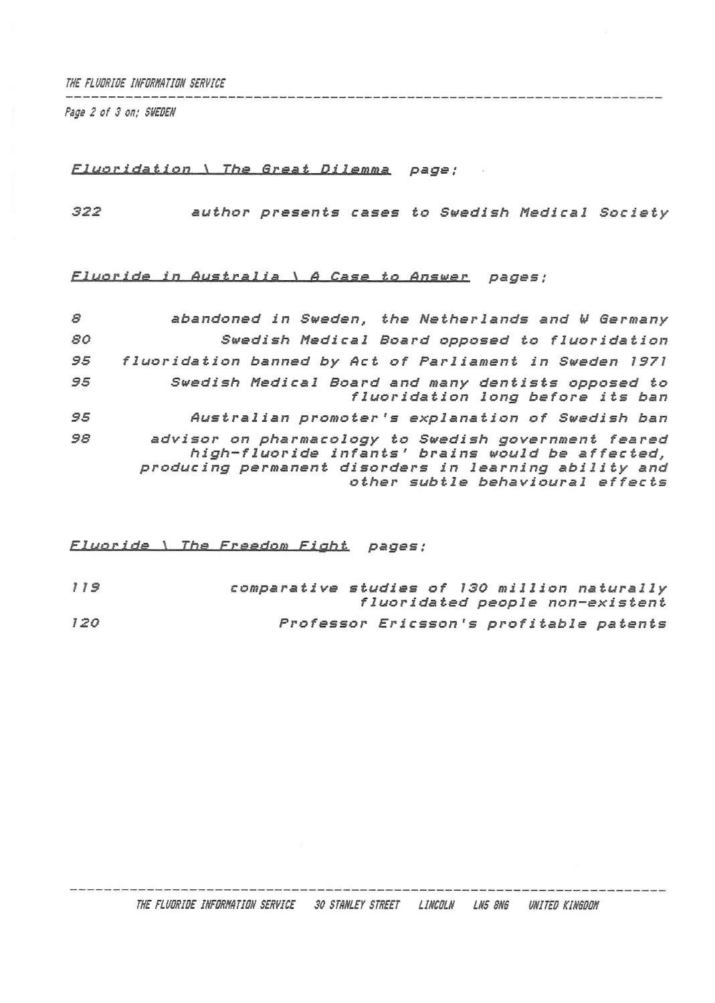*THE FLUORIDE INFORNNTIDN SERVICE*

*Pigs 2 of <sup>S</sup> on; SVEDEN*

#### *El* y<sup>g</sup> *<sup>I</sup>', id<sup>ä</sup> t iPil\_\_*1\_\_*The Great Dilemma page;*

*322 author presents cases to Swedish Medical Society*

# *Elueride in Australia*l\_<sup>v</sup> *<sup>A</sup> Case to Answer pages ;*

| 8  | abandoned in Sweden, the Netherlands and W Germany                                                                                                                                                    |
|----|-------------------------------------------------------------------------------------------------------------------------------------------------------------------------------------------------------|
| 80 | Swedish Medical Board opposed to fluoridation                                                                                                                                                         |
| 95 | fluoridation banned by Act of Parliament in Sweden 1971                                                                                                                                               |
| 95 | Swedish Medical Board and many dentists opposed to<br>fluoridation long before its ban                                                                                                                |
| 95 | Australian promoter's explanation of Swedish ban                                                                                                                                                      |
| 98 | advisor on pharmacology to Swedish government feared<br>high-fluoride infants' brains would be affected,<br>producing permanent disorders in learning ability and<br>other subtle behavioural effects |

*FLuor ids\_\_\\_\_The Freedom Fight pages ;*

| 119 | comparative studies of 130 million naturally |  |                                         |
|-----|----------------------------------------------|--|-----------------------------------------|
|     |                                              |  | fluoridated people non-existent         |
| 120 |                                              |  | Professor Ericsson's profitable patents |